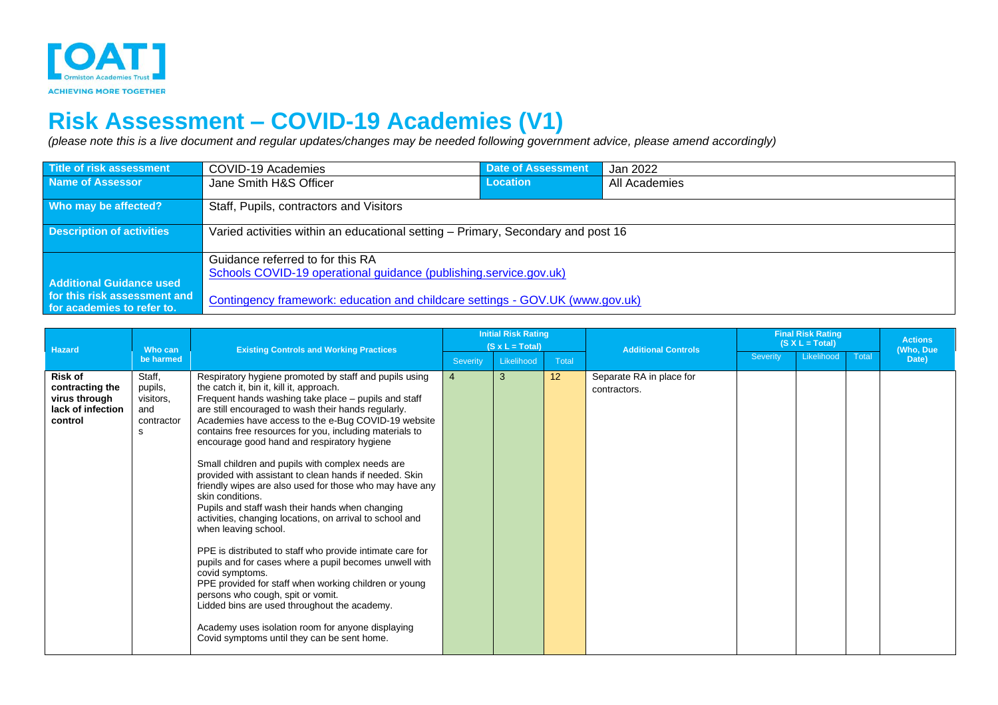

## **Risk Assessment – COVID-19 Academies (V1)**

*(please note this is a live document and regular updates/changes may be needed following government advice, please amend accordingly)*

| Title of risk assessment                                   | COVID-19 Academies                                                               | <b>Date of Assessment</b> | Jan 2022      |  |  |  |  |  |
|------------------------------------------------------------|----------------------------------------------------------------------------------|---------------------------|---------------|--|--|--|--|--|
| Name of Assessor                                           | Jane Smith H&S Officer                                                           | Location                  | All Academies |  |  |  |  |  |
| Who may be affected?                                       | Staff, Pupils, contractors and Visitors                                          |                           |               |  |  |  |  |  |
| <b>Description of activities</b>                           | Varied activities within an educational setting – Primary, Secondary and post 16 |                           |               |  |  |  |  |  |
|                                                            | Guidance referred to for this RA                                                 |                           |               |  |  |  |  |  |
| <b>Additional Guidance used</b>                            | Schools COVID-19 operational guidance (publishing.service.gov.uk)                |                           |               |  |  |  |  |  |
| for this risk assessment and<br>for academies to refer to. | Contingency framework: education and childcare settings - GOV.UK (www.gov.uk)    |                           |               |  |  |  |  |  |

|                                                                                    |                                                          | <b>Existing Controls and Working Practices</b>                                                                                                                                                                                                                                                                                                                                                                                                                                                                                                                                                                                                                                                                                                                                                                                                                                                                                                                                                                                                                                                                     | <b>Initial Risk Rating</b> |                                      |       |                                          | <b>Final Risk Rating</b><br>$(S X L = Total)$ |  |                    | <b>Actions</b> |
|------------------------------------------------------------------------------------|----------------------------------------------------------|--------------------------------------------------------------------------------------------------------------------------------------------------------------------------------------------------------------------------------------------------------------------------------------------------------------------------------------------------------------------------------------------------------------------------------------------------------------------------------------------------------------------------------------------------------------------------------------------------------------------------------------------------------------------------------------------------------------------------------------------------------------------------------------------------------------------------------------------------------------------------------------------------------------------------------------------------------------------------------------------------------------------------------------------------------------------------------------------------------------------|----------------------------|--------------------------------------|-------|------------------------------------------|-----------------------------------------------|--|--------------------|----------------|
| <b>Hazard</b>                                                                      | Who can<br>be harmed                                     |                                                                                                                                                                                                                                                                                                                                                                                                                                                                                                                                                                                                                                                                                                                                                                                                                                                                                                                                                                                                                                                                                                                    | <b>Severity</b>            | $(S \times L = Total)$<br>Likelihood | Total | <b>Additional Controls</b>               | Likelihood<br>Severity<br>Total               |  | (Who, Due<br>Date) |                |
| <b>Risk of</b><br>contracting the<br>virus through<br>lack of infection<br>control | Staff,<br>pupils,<br>visitors,<br>and<br>contractor<br>s | Respiratory hygiene promoted by staff and pupils using<br>the catch it, bin it, kill it, approach.<br>Frequent hands washing take place – pupils and staff<br>are still encouraged to wash their hands regularly.<br>Academies have access to the e-Bug COVID-19 website<br>contains free resources for you, including materials to<br>encourage good hand and respiratory hygiene<br>Small children and pupils with complex needs are<br>provided with assistant to clean hands if needed. Skin<br>friendly wipes are also used for those who may have any<br>skin conditions.<br>Pupils and staff wash their hands when changing<br>activities, changing locations, on arrival to school and<br>when leaving school.<br>PPE is distributed to staff who provide intimate care for<br>pupils and for cases where a pupil becomes unwell with<br>covid symptoms.<br>PPE provided for staff when working children or young<br>persons who cough, spit or vomit.<br>Lidded bins are used throughout the academy.<br>Academy uses isolation room for anyone displaying<br>Covid symptoms until they can be sent home. | $\overline{4}$             | 3                                    | 12    | Separate RA in place for<br>contractors. |                                               |  |                    |                |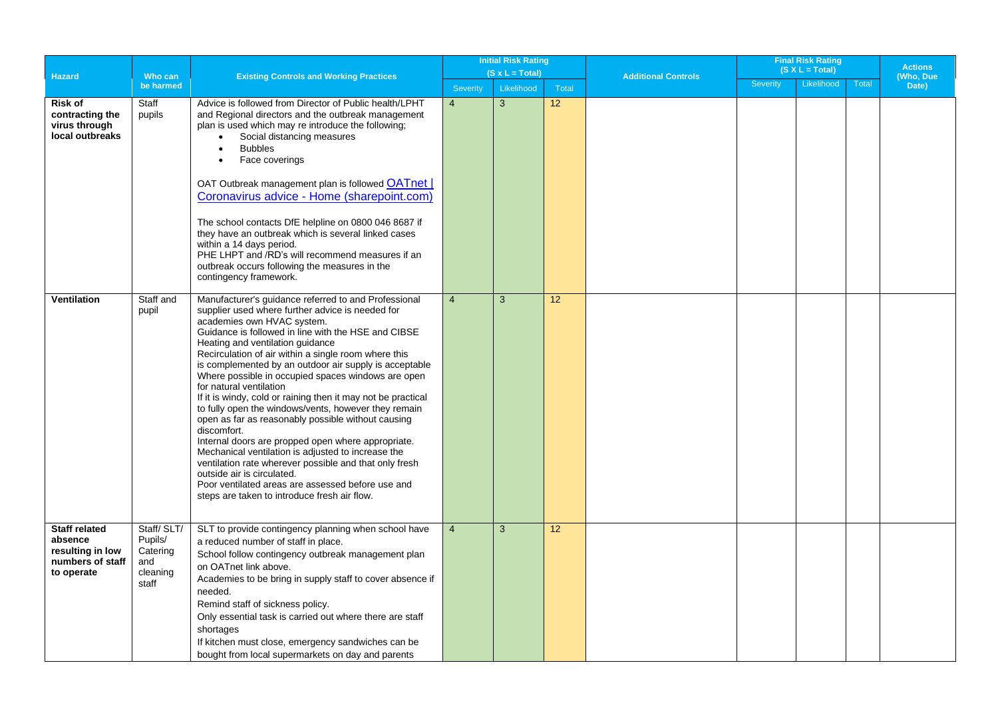|                                                                                       |                                                               |                                                                                                                                                                                                                                                                                                                                                                                                                                                                                                                                                                                                                                                                                                                                                                                                                                                                                                                                            | <b>Initial Risk Rating</b> |                        |       |                            | <b>Final Risk Rating</b> |            |                             |       |
|---------------------------------------------------------------------------------------|---------------------------------------------------------------|--------------------------------------------------------------------------------------------------------------------------------------------------------------------------------------------------------------------------------------------------------------------------------------------------------------------------------------------------------------------------------------------------------------------------------------------------------------------------------------------------------------------------------------------------------------------------------------------------------------------------------------------------------------------------------------------------------------------------------------------------------------------------------------------------------------------------------------------------------------------------------------------------------------------------------------------|----------------------------|------------------------|-------|----------------------------|--------------------------|------------|-----------------------------|-------|
| Hazard                                                                                | Who can                                                       | <b>Existing Controls and Working Practices</b>                                                                                                                                                                                                                                                                                                                                                                                                                                                                                                                                                                                                                                                                                                                                                                                                                                                                                             |                            | $(S \times L = Total)$ |       | <b>Additional Controls</b> | $(S X L = Total)$        |            | <b>Actions</b><br>(Who, Due |       |
|                                                                                       | be harmed                                                     |                                                                                                                                                                                                                                                                                                                                                                                                                                                                                                                                                                                                                                                                                                                                                                                                                                                                                                                                            | <b>Severity</b>            | Likelihood             | Total |                            | <b>Severity</b>          | Likelihood | <b>Total</b>                | Date) |
| <b>Risk of</b><br>contracting the<br>virus through<br>local outbreaks                 | Staff<br>pupils                                               | Advice is followed from Director of Public health/LPHT<br>and Regional directors and the outbreak management<br>plan is used which may re introduce the following;<br>Social distancing measures<br>$\bullet$<br><b>Bubbles</b><br>$\bullet$<br>Face coverings<br>$\bullet$<br>OAT Outbreak management plan is followed OATnet  <br>Coronavirus advice - Home (sharepoint.com)<br>The school contacts DfE helpline on 0800 046 8687 if<br>they have an outbreak which is several linked cases<br>within a 14 days period.<br>PHE LHPT and /RD's will recommend measures if an<br>outbreak occurs following the measures in the<br>contingency framework.                                                                                                                                                                                                                                                                                   | $\overline{4}$             | 3                      | 12    |                            |                          |            |                             |       |
| <b>Ventilation</b>                                                                    | Staff and<br>pupil                                            | Manufacturer's guidance referred to and Professional<br>supplier used where further advice is needed for<br>academies own HVAC system.<br>Guidance is followed in line with the HSE and CIBSE<br>Heating and ventilation guidance<br>Recirculation of air within a single room where this<br>is complemented by an outdoor air supply is acceptable<br>Where possible in occupied spaces windows are open<br>for natural ventilation<br>If it is windy, cold or raining then it may not be practical<br>to fully open the windows/vents, however they remain<br>open as far as reasonably possible without causing<br>discomfort.<br>Internal doors are propped open where appropriate.<br>Mechanical ventilation is adjusted to increase the<br>ventilation rate wherever possible and that only fresh<br>outside air is circulated.<br>Poor ventilated areas are assessed before use and<br>steps are taken to introduce fresh air flow. | $\overline{4}$             | 3                      | 12    |                            |                          |            |                             |       |
| <b>Staff related</b><br>absence<br>resulting in low<br>numbers of staff<br>to operate | Staff/SLT/<br>Pupils/<br>Catering<br>and<br>cleaning<br>staff | SLT to provide contingency planning when school have<br>a reduced number of staff in place.<br>School follow contingency outbreak management plan<br>on OATnet link above.<br>Academies to be bring in supply staff to cover absence if<br>needed.<br>Remind staff of sickness policy.<br>Only essential task is carried out where there are staff<br>shortages<br>If kitchen must close, emergency sandwiches can be<br>bought from local supermarkets on day and parents                                                                                                                                                                                                                                                                                                                                                                                                                                                                 | $\overline{4}$             | 3                      | 12    |                            |                          |            |                             |       |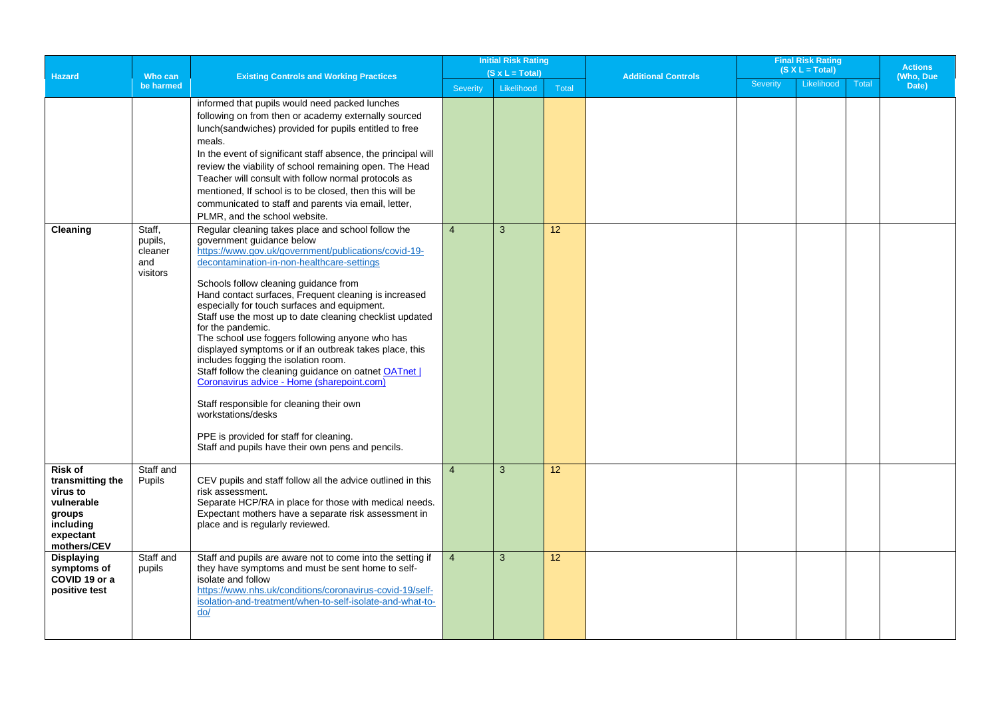| $(S X L = Total)$<br>$(S x L = Total)$<br><b>Hazard</b><br>Who can<br><b>Existing Controls and Working Practices</b><br><b>Additional Controls</b><br>Likelihood<br><b>Severity</b><br><b>Total</b><br>be harmed<br>Likelihood<br>Total<br><b>Severity</b> | <b>Actions</b><br>(Who, Due<br>Date) |
|------------------------------------------------------------------------------------------------------------------------------------------------------------------------------------------------------------------------------------------------------------|--------------------------------------|
|                                                                                                                                                                                                                                                            |                                      |
|                                                                                                                                                                                                                                                            |                                      |
| informed that pupils would need packed lunches                                                                                                                                                                                                             |                                      |
| following on from then or academy externally sourced                                                                                                                                                                                                       |                                      |
| lunch(sandwiches) provided for pupils entitled to free                                                                                                                                                                                                     |                                      |
| meals.<br>In the event of significant staff absence, the principal will                                                                                                                                                                                    |                                      |
| review the viability of school remaining open. The Head                                                                                                                                                                                                    |                                      |
| Teacher will consult with follow normal protocols as                                                                                                                                                                                                       |                                      |
| mentioned, If school is to be closed, then this will be                                                                                                                                                                                                    |                                      |
| communicated to staff and parents via email, letter,                                                                                                                                                                                                       |                                      |
| PLMR, and the school website.                                                                                                                                                                                                                              |                                      |
| $\overline{4}$<br>3<br>12<br>Staff,<br>Regular cleaning takes place and school follow the<br>Cleaning                                                                                                                                                      |                                      |
| government guidance below<br>pupils,                                                                                                                                                                                                                       |                                      |
| https://www.gov.uk/government/publications/covid-19-<br>cleaner<br>decontamination-in-non-healthcare-settings<br>and                                                                                                                                       |                                      |
| visitors                                                                                                                                                                                                                                                   |                                      |
| Schools follow cleaning guidance from                                                                                                                                                                                                                      |                                      |
| Hand contact surfaces, Frequent cleaning is increased                                                                                                                                                                                                      |                                      |
| especially for touch surfaces and equipment.<br>Staff use the most up to date cleaning checklist updated                                                                                                                                                   |                                      |
| for the pandemic.                                                                                                                                                                                                                                          |                                      |
| The school use foggers following anyone who has                                                                                                                                                                                                            |                                      |
| displayed symptoms or if an outbreak takes place, this                                                                                                                                                                                                     |                                      |
| includes fogging the isolation room.<br>Staff follow the cleaning guidance on oatnet OATnet                                                                                                                                                                |                                      |
| Coronavirus advice - Home (sharepoint.com)                                                                                                                                                                                                                 |                                      |
|                                                                                                                                                                                                                                                            |                                      |
| Staff responsible for cleaning their own<br>workstations/desks                                                                                                                                                                                             |                                      |
|                                                                                                                                                                                                                                                            |                                      |
| PPE is provided for staff for cleaning.<br>Staff and pupils have their own pens and pencils.                                                                                                                                                               |                                      |
|                                                                                                                                                                                                                                                            |                                      |
| Risk of<br>Staff and<br>12<br>$\overline{4}$<br>3                                                                                                                                                                                                          |                                      |
| CEV pupils and staff follow all the advice outlined in this<br>transmitting the<br>Pupils<br>risk assessment.<br>virus to                                                                                                                                  |                                      |
| vulnerable<br>Separate HCP/RA in place for those with medical needs.                                                                                                                                                                                       |                                      |
| Expectant mothers have a separate risk assessment in<br>groups                                                                                                                                                                                             |                                      |
| including<br>place and is regularly reviewed.                                                                                                                                                                                                              |                                      |
| expectant<br>mothers/CEV                                                                                                                                                                                                                                   |                                      |
| 3<br><b>Displaying</b><br>Staff and<br>Staff and pupils are aware not to come into the setting if<br>$\overline{4}$<br>12                                                                                                                                  |                                      |
| symptoms of<br>they have symptoms and must be sent home to self-<br>pupils                                                                                                                                                                                 |                                      |
| COVID 19 or a<br>isolate and follow<br>https://www.nhs.uk/conditions/coronavirus-covid-19/self-<br>positive test                                                                                                                                           |                                      |
| isolation-and-treatment/when-to-self-isolate-and-what-to-                                                                                                                                                                                                  |                                      |
| do/                                                                                                                                                                                                                                                        |                                      |
|                                                                                                                                                                                                                                                            |                                      |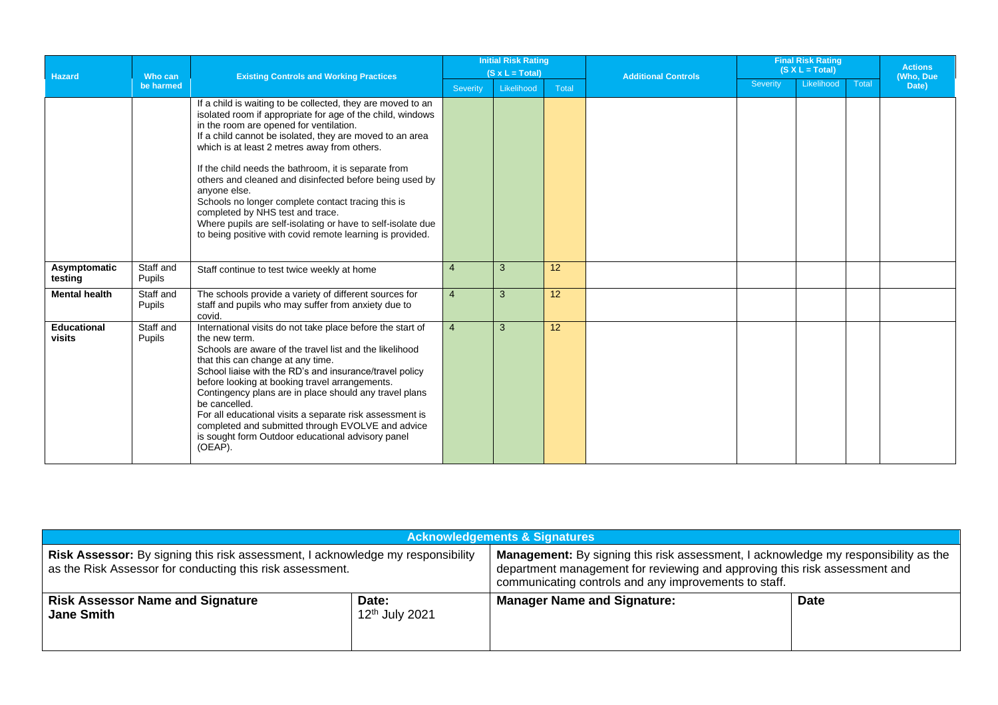|                              |                     |                                                                                                                                                                                                                                                                                                                                                                                                                                                                                                                                                                                                                                           | <b>Initial Risk Rating</b> |            |                 |                            | <b>Final Risk Rating</b> |            | <b>Actions</b><br>(Who, Due |       |
|------------------------------|---------------------|-------------------------------------------------------------------------------------------------------------------------------------------------------------------------------------------------------------------------------------------------------------------------------------------------------------------------------------------------------------------------------------------------------------------------------------------------------------------------------------------------------------------------------------------------------------------------------------------------------------------------------------------|----------------------------|------------|-----------------|----------------------------|--------------------------|------------|-----------------------------|-------|
| <b>Hazard</b>                | Who can             | <b>Existing Controls and Working Practices</b>                                                                                                                                                                                                                                                                                                                                                                                                                                                                                                                                                                                            | $(S \times L = Total)$     |            |                 | <b>Additional Controls</b> | $(S X L = Total)$        |            |                             |       |
|                              | be harmed           |                                                                                                                                                                                                                                                                                                                                                                                                                                                                                                                                                                                                                                           | Severity                   | Likelihood | Total           |                            | Severity                 | Likelihood | Total                       | Date) |
|                              |                     | If a child is waiting to be collected, they are moved to an<br>isolated room if appropriate for age of the child, windows<br>in the room are opened for ventilation.<br>If a child cannot be isolated, they are moved to an area<br>which is at least 2 metres away from others.<br>If the child needs the bathroom, it is separate from<br>others and cleaned and disinfected before being used by<br>anyone else.<br>Schools no longer complete contact tracing this is<br>completed by NHS test and trace.<br>Where pupils are self-isolating or have to self-isolate due<br>to being positive with covid remote learning is provided. |                            |            |                 |                            |                          |            |                             |       |
| Asymptomatic<br>testing      | Staff and<br>Pupils | Staff continue to test twice weekly at home                                                                                                                                                                                                                                                                                                                                                                                                                                                                                                                                                                                               | $\overline{4}$             | 3          | 12 <sup>2</sup> |                            |                          |            |                             |       |
| <b>Mental health</b>         | Staff and<br>Pupils | The schools provide a variety of different sources for<br>staff and pupils who may suffer from anxiety due to<br>covid.                                                                                                                                                                                                                                                                                                                                                                                                                                                                                                                   | $\overline{4}$             | 3          | 12 <sup>°</sup> |                            |                          |            |                             |       |
| <b>Educational</b><br>visits | Staff and<br>Pupils | International visits do not take place before the start of<br>the new term.<br>Schools are aware of the travel list and the likelihood<br>that this can change at any time.<br>School liaise with the RD's and insurance/travel policy<br>before looking at booking travel arrangements.<br>Contingency plans are in place should any travel plans<br>be cancelled.<br>For all educational visits a separate risk assessment is<br>completed and submitted through EVOLVE and advice<br>is sought form Outdoor educational advisory panel<br>(OEAP).                                                                                      | $\overline{4}$             | 3          | 12 <sup>2</sup> |                            |                          |            |                             |       |

| <b>Acknowledgements &amp; Signatures</b>                                                                                                     |                                     |                                                                                                                                                                                                                            |             |  |  |  |  |  |
|----------------------------------------------------------------------------------------------------------------------------------------------|-------------------------------------|----------------------------------------------------------------------------------------------------------------------------------------------------------------------------------------------------------------------------|-------------|--|--|--|--|--|
| Risk Assessor: By signing this risk assessment, I acknowledge my responsibility<br>as the Risk Assessor for conducting this risk assessment. |                                     | Management: By signing this risk assessment, I acknowledge my responsibility as the<br>department management for reviewing and approving this risk assessment and<br>communicating controls and any improvements to staff. |             |  |  |  |  |  |
| <b>Risk Assessor Name and Signature</b><br><b>Jane Smith</b>                                                                                 | Date:<br>12 <sup>th</sup> July 2021 | <b>Manager Name and Signature:</b>                                                                                                                                                                                         | <b>Date</b> |  |  |  |  |  |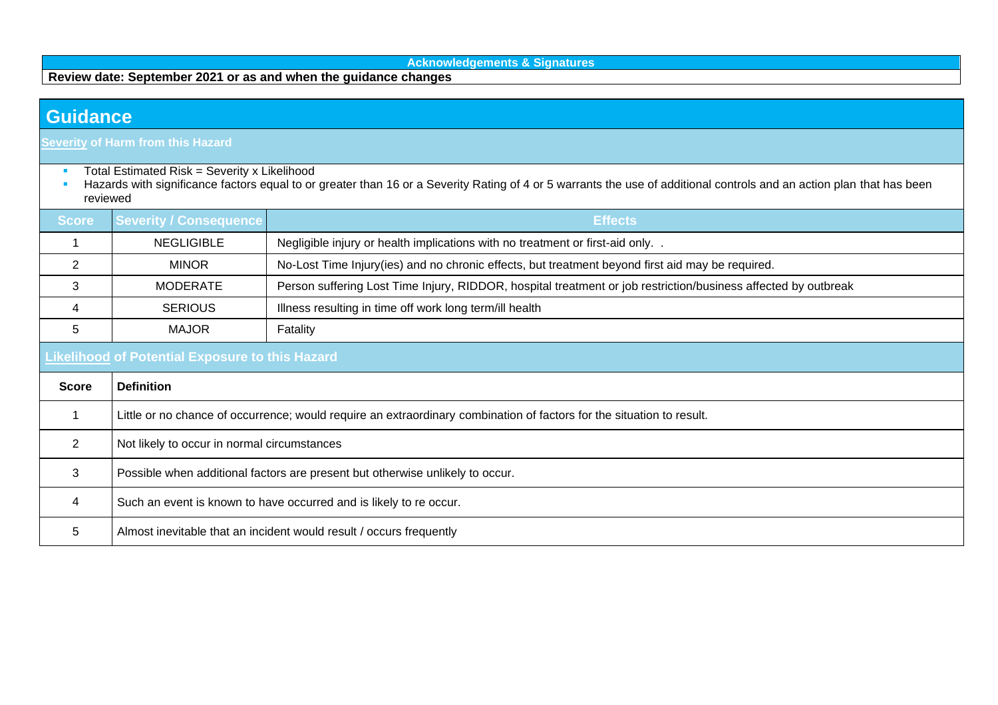**Acknowledgements & Signatures**

**Review date: September 2021 or as and when the guidance changes**

## **Guidance**

**Severity of Harm from this Hazard**

- **Total Estimated Risk = Severity x Likelihood**
- Hazards with significance factors equal to or greater than 16 or a Severity Rating of 4 or 5 warrants the use of additional controls and an action plan that has been reviewed

| <b>Score</b> | <b>Severity / Consequence</b><br><b>Effects</b>                                                                       |                                                                                                                |  |  |  |  |  |
|--------------|-----------------------------------------------------------------------------------------------------------------------|----------------------------------------------------------------------------------------------------------------|--|--|--|--|--|
|              | <b>NEGLIGIBLE</b><br>Negligible injury or health implications with no treatment or first-aid only                     |                                                                                                                |  |  |  |  |  |
| 2            | <b>MINOR</b>                                                                                                          | No-Lost Time Injury(ies) and no chronic effects, but treatment beyond first aid may be required.               |  |  |  |  |  |
| 3            | <b>MODERATE</b>                                                                                                       | Person suffering Lost Time Injury, RIDDOR, hospital treatment or job restriction/business affected by outbreak |  |  |  |  |  |
| 4            | Illness resulting in time off work long term/ill health<br><b>SERIOUS</b>                                             |                                                                                                                |  |  |  |  |  |
| 5            | <b>MAJOR</b><br>Fatality                                                                                              |                                                                                                                |  |  |  |  |  |
|              | <b>Likelihood of Potential Exposure to this Hazard</b>                                                                |                                                                                                                |  |  |  |  |  |
| <b>Score</b> | <b>Definition</b>                                                                                                     |                                                                                                                |  |  |  |  |  |
|              | Little or no chance of occurrence; would require an extraordinary combination of factors for the situation to result. |                                                                                                                |  |  |  |  |  |
| 2            | Not likely to occur in normal circumstances                                                                           |                                                                                                                |  |  |  |  |  |
| 3            | Possible when additional factors are present but otherwise unlikely to occur.                                         |                                                                                                                |  |  |  |  |  |
| 4            | Such an event is known to have occurred and is likely to re occur.                                                    |                                                                                                                |  |  |  |  |  |
| 5            | Almost inevitable that an incident would result / occurs frequently                                                   |                                                                                                                |  |  |  |  |  |